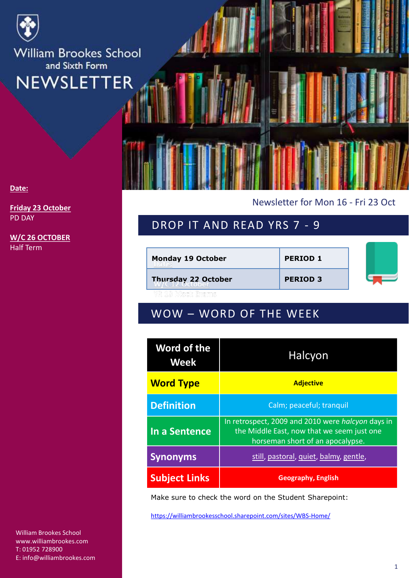

#### **Date:**

**Friday 23 October** PD DAY

**W/C 26 OCTOBER** Half Term

William Brookes School www.williambrookes.com T: 01952 728900 E: info@williambrookes.com Newsletter for Mon 16 - Fri 23 Oct

## DROP IT AND READ YRS 7 - 9

| <b>Monday 19 October</b> | <b>PERIOD 1</b> |  |
|--------------------------|-----------------|--|
| Thursday 22 October      | <b>PERIOD 3</b> |  |

# WOW – WORD OF THE WEEK

| Word of the<br>Week  | Halcyon                                                                                                                             |  |
|----------------------|-------------------------------------------------------------------------------------------------------------------------------------|--|
| <b>Word Type</b>     | <b>Adjective</b>                                                                                                                    |  |
| <b>Definition</b>    | Calm; peaceful; tranquil                                                                                                            |  |
| In a Sentence        | In retrospect, 2009 and 2010 were halcyon days in<br>the Middle East, now that we seem just one<br>horseman short of an apocalypse. |  |
| <b>Synonyms</b>      | still, pastoral, quiet, balmy, gentle,                                                                                              |  |
| <b>Subject Links</b> | <b>Geography, English</b>                                                                                                           |  |

Make sure to check the word on the Student Sharepoint:

<https://williambrookesschool.sharepoint.com/sites/WBS-Home/>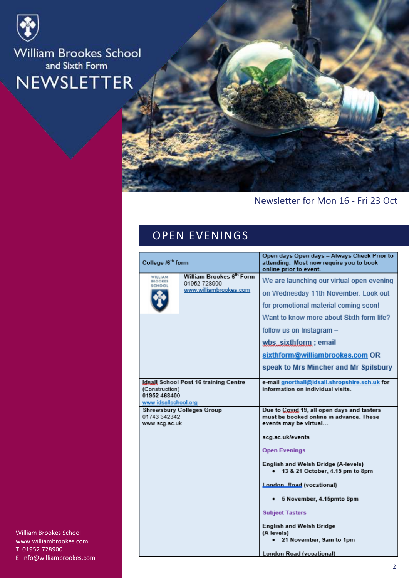



### Newsletter for Mon 16 - Fri 23 Oct

### OPEN EVENINGS

|                                                        |                                                                    | Open days Open days - Always Check Prior to                                                                                                                                                                                                                                                            |
|--------------------------------------------------------|--------------------------------------------------------------------|--------------------------------------------------------------------------------------------------------------------------------------------------------------------------------------------------------------------------------------------------------------------------------------------------------|
| College /6 <sup>th</sup> form                          |                                                                    | attending. Most now require you to book<br>online prior to event.                                                                                                                                                                                                                                      |
| WILLIAM<br><b>BROOKES</b><br>SCHOOL                    | William Brookes 6th Form<br>01952 728900<br>www.williambrookes.com | We are launching our virtual open evening<br>on Wednesday 11th November. Look out<br>for promotional material coming soon!<br>Want to know more about Sixth form life?<br>follow us on Instagram -<br>wbs_sixthform; email<br>sixthform@williambrookes.com OR<br>speak to Mrs Mincher and Mr Spilsbury |
| (Construction)<br>01952 468400<br>www.idsallschool.org | Idsall School Post 16 training Centre                              | e-mail gnorthall@idsall.shropshire.sch.uk for<br>information on individual visits.                                                                                                                                                                                                                     |
| 01743 342342<br>www.scg.ac.uk                          | <b>Shrewsbury Colleges Group</b>                                   | Due to Coxid 19, all open days and tasters<br>must be booked online in advance. These<br>events may be virtual<br>scg.ac.uk/events                                                                                                                                                                     |
|                                                        |                                                                    | <b>Open Evenings</b>                                                                                                                                                                                                                                                                                   |
|                                                        |                                                                    | English and Welsh Bridge (A-levels)<br>13 & 21 October, 4.15 pm to 8pm                                                                                                                                                                                                                                 |
|                                                        |                                                                    | London Road (vocational)                                                                                                                                                                                                                                                                               |
|                                                        |                                                                    | 5 November, 4.15pmto 8pm                                                                                                                                                                                                                                                                               |
|                                                        |                                                                    | <b>Subject Tasters</b>                                                                                                                                                                                                                                                                                 |
|                                                        |                                                                    | <b>English and Welsh Bridge</b><br>(A levels)<br>21 November, 9am to 1pm                                                                                                                                                                                                                               |
|                                                        |                                                                    | <b>London Road (vocational)</b>                                                                                                                                                                                                                                                                        |

William Brookes School www.williambrookes.com T: 01952 728900 E: info@williambrookes.com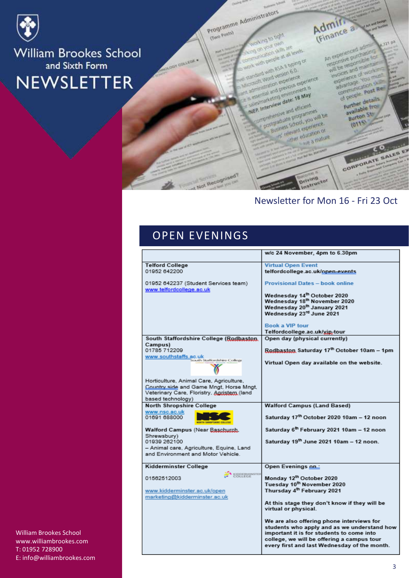

(Cheon Gwy)

Programme Administrators

Admin<br>(Finance a Mol of Endis

on your cam An experienced adm anication skills are with people at all levels regonere purchasing will be responsible for and with asa a typing or croott Word version 6.0.

iministration experience exectal and previous experience. saistrateurg envionment is NEP. Interview date: 18 May

preceivenave and efficient Companate programmes Business School, you will be 13 relevant experience. either education or we a mature

of people, post Re-Further details available from **Burton Str.**  $(0115)$ 

invoices and maintain

experience of work at advantage. You must

communication skill

CORPORATE SALES EX

A Search

 $121$   $p<sup>2</sup>$ 

### Newsletter for Mon 16 - Fri 23 Oct

**Oriving**<br>Instructor

## OPEN EVENINGS

t Not Recognised?

|                                                                  | w/c 24 November, 4pm to 6.30pm                                                             |
|------------------------------------------------------------------|--------------------------------------------------------------------------------------------|
| <b>Telford College</b>                                           | <b>Virtual Open Event</b>                                                                  |
| 01952 642200                                                     | telfordcollege.ac.uk/open-events                                                           |
| 01952 642237 (Student Services team)<br>www.telfordcollege.ac.uk | <b>Provisional Dates - book online</b>                                                     |
|                                                                  | Wednesday 14th October 2020                                                                |
|                                                                  | Wednesday 18th November 2020                                                               |
|                                                                  | Wednesday 20 <sup>th</sup> January 2021                                                    |
|                                                                  | Wednesday 23 <sup>rd</sup> June 2021                                                       |
|                                                                  | <b>Book a VIP tour</b>                                                                     |
|                                                                  | Telfordcollege.ac.uk/xin-tour                                                              |
| South Staffordshire College (Rodbaston,                          | Open day (physical currently)                                                              |
| Campus)                                                          |                                                                                            |
| 01785 712209<br>www.southstaffs.ac.uk                            | Rodbaston Saturday 17th October 10am - 1pm                                                 |
| iouth Staffordshire College                                      | Virtual Open day available on the website.                                                 |
| Horticulture, Animal Care, Agriculture,                          |                                                                                            |
| Country side and Game Mngt, Horse Mngt,                          |                                                                                            |
| Veterinary Care, Floristry, Agristem (land                       |                                                                                            |
| based technology)                                                |                                                                                            |
| <b>North Shropshire College</b>                                  | <b>Walford Campus (Land Based)</b>                                                         |
| www.nsc.ac.uk<br>01691 688000                                    | Saturday 17th October 2020 10am - 12 noon                                                  |
| Walford Campus (Near Baschurch,                                  | Saturday 6th February 2021 10am - 12 noon                                                  |
| Shrewsbury)<br>01939 262100                                      | Saturday 19th June 2021 10am - 12 noon.                                                    |
| - Animal care, Agriculture, Equine, Land                         |                                                                                            |
| and Environment and Motor Vehicle.                               |                                                                                            |
| Kidderminster College                                            | Open Evenings on:                                                                          |
| KIDDERMINSTER<br>COLLEGE<br>01562512003                          | Monday 12th October 2020                                                                   |
|                                                                  | Tuesday 10 <sup>th</sup> November 2020                                                     |
| www.kidderminster.ac.uk/open                                     | Thursday 4 <sup>th</sup> February 2021                                                     |
| marketing@kidderminster.ac.uk                                    |                                                                                            |
|                                                                  | At this stage they don't know if they will be<br>virtual or physical.                      |
|                                                                  | We are also offering phone interviews for                                                  |
|                                                                  | students who apply and as we understand how<br>important it is for students to come into   |
|                                                                  | college, we will be offering a campus tour<br>every first and last Wednesday of the month. |

**William Brookes School** www.williambrookes.com T: 01952 728900 E: info@williambrookes.com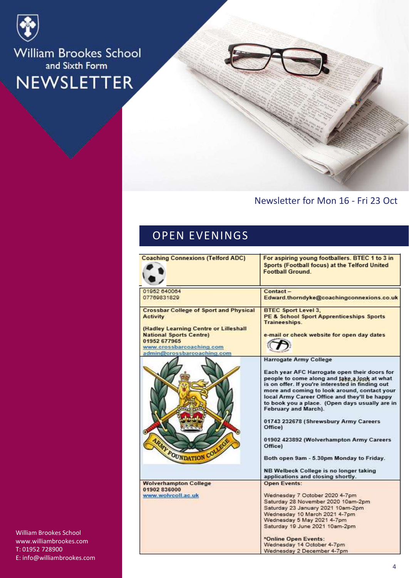

#### Newsletter for Mon 16 - Fri 23 Oct

### OPEN EVENINGS

| <b>Coaching Connexions (Telford ADC)</b>                                                                                                          | For aspiring young footballers. BTEC 1 to 3 in<br>Sports (Football focus) at the Telford United<br><b>Football Ground.</b>                                                                                                                                                                                                  |
|---------------------------------------------------------------------------------------------------------------------------------------------------|-----------------------------------------------------------------------------------------------------------------------------------------------------------------------------------------------------------------------------------------------------------------------------------------------------------------------------|
| 01952 640064<br>07769831829                                                                                                                       | Contact-<br>Edward.thorndyke@coachingconnexions.co.uk                                                                                                                                                                                                                                                                       |
| <b>Crossbar College of Sport and Physical</b><br><b>Activity</b>                                                                                  | <b>BTEC Sport Level 3.</b><br><b>PE &amp; School Sport Apprenticeships Sports</b><br>Traineeships.                                                                                                                                                                                                                          |
| (Hadley Learning Centre or Lilleshall<br><b>National Sports Centre)</b><br>01952 677965<br>www.crossbarcoaching.com<br>admin@crossbarcoaching.com | e-mail or check website for open day dates                                                                                                                                                                                                                                                                                  |
|                                                                                                                                                   | Harrogate Army College                                                                                                                                                                                                                                                                                                      |
|                                                                                                                                                   | Each year AFC Harrogate open their doors for<br>people to come along and take a look at what<br>is on offer. If you're interested in finding out<br>more and coming to look around, contact your<br>local Army Career Office and they'll be happy<br>to book you a place. (Open days usually are in<br>February and March). |
| o.                                                                                                                                                | 01743 232678 (Shrewsbury Army Careers<br>Office)                                                                                                                                                                                                                                                                            |
| <b>ARMY FOUNDATION COLLE</b>                                                                                                                      | 01902 423892 (Wolverhampton Army Careers<br>Office)                                                                                                                                                                                                                                                                         |
|                                                                                                                                                   | Both open 9am - 5.30pm Monday to Friday.                                                                                                                                                                                                                                                                                    |
|                                                                                                                                                   | NB Welbeck College is no longer taking<br>applications and closing shortly.                                                                                                                                                                                                                                                 |
| <b>Wolverhampton College</b>                                                                                                                      | <b>Open Events:</b>                                                                                                                                                                                                                                                                                                         |
| 01902 836000<br>www.wolvcoll.ac.uk                                                                                                                | Wednesday 7 October 2020 4-7pm                                                                                                                                                                                                                                                                                              |
|                                                                                                                                                   | Saturday 28 November 2020 10am-2pm                                                                                                                                                                                                                                                                                          |
|                                                                                                                                                   | Saturday 23 January 2021 10am-2pm                                                                                                                                                                                                                                                                                           |
|                                                                                                                                                   | Wednesday 10 March 2021 4-7pm                                                                                                                                                                                                                                                                                               |
|                                                                                                                                                   | Wednesday 5 May 2021 4-7pm<br>Saturday 19 June 2021 10am-2pm.                                                                                                                                                                                                                                                               |
|                                                                                                                                                   | *Online Open Events:                                                                                                                                                                                                                                                                                                        |
|                                                                                                                                                   | Wednesday 14 October 4-7pm                                                                                                                                                                                                                                                                                                  |
|                                                                                                                                                   | Wednesday 2 December 4-7pm                                                                                                                                                                                                                                                                                                  |

William Brookes School www.williambrookes.com T: 01952 728900 E: info@williambrookes.com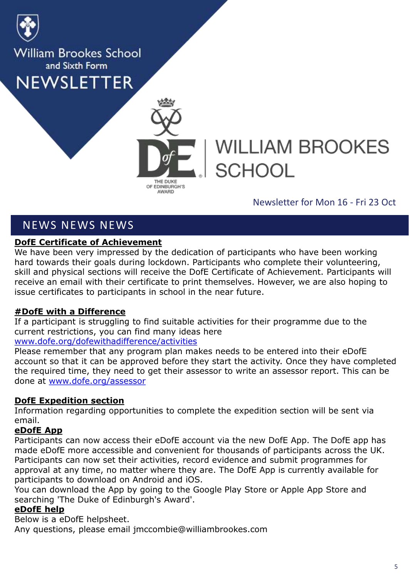



# **WILLIAM BROOKES SCHOOL**

#### Newsletter for Mon 16 - Fri 23 Oct

### NEWS NEWS NEWS

#### **DofE Certificate of Achievement**

We have been very impressed by the dedication of participants who have been working hard towards their goals during lockdown. Participants who complete their volunteering, skill and physical sections will receive the DofE Certificate of Achievement. Participants will receive an email with their certificate to print themselves. However, we are also hoping to issue certificates to participants in school in the near future.

#### **#DofE with a Difference**

If a participant is struggling to find suitable activities for their programme due to the current restrictions, you can find many ideas here

#### [www.dofe.org/dofewithadifference/activities](http://www.dofe.org/dofewithadifference/activities)

Please remember that any program plan makes needs to be entered into their eDofE account so that it can be approved before they start the activity. Once they have completed the required time, they need to get their assessor to write an assessor report. This can be done at [www.dofe.org/assessor](http://www.dofe.org/assessor)

#### **DofE Expedition section**

Information regarding opportunities to complete the expedition section will be sent via email.

#### **eDofE App**

Participants can now access their eDofE account via the new DofE App. The DofE app has made eDofE more accessible and convenient for thousands of participants across the UK. Participants can now set their activities, record evidence and submit programmes for approval at any time, no matter where they are. The DofE App is currently available for participants to download on Android and iOS.

You can download the App by going to the Google Play Store or Apple App Store and searching 'The Duke of Edinburgh's Award'.

#### **eDofE help**

Below is a eDofE helpsheet. Any questions, please email jmccombie@williambrookes.com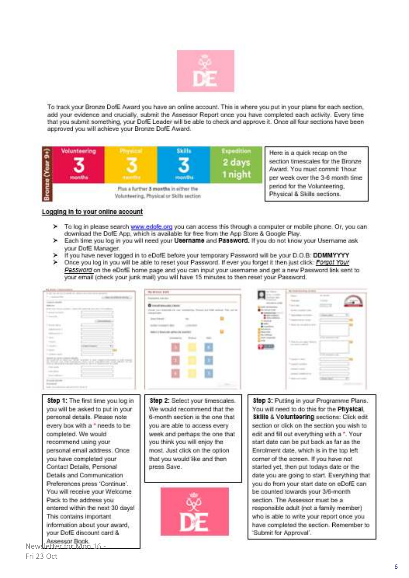

To track your Bronze DofE Award you have an online account. This is where you put in your plans for each section, add your evidence and crucially, submit the Assessor Report once you have completed each activity. Every time that you submit something, your DofE Leader will be able to check and approve it. Once all four sections have been approved you will achieve your Bronze DofE Award.



Here is a quick recap on the section timescales for the Bronze Award. You must commit 1hour per week over the 3-6 month time period for the Volunteering. Physical & Skills sections.

#### Logging in to your online account

- > To log in please search www.edofe.org you can access this through a computer or mobile phone. Or, you can download the DofE App, which is available for free from the App Store & Google Play.
- > Each time you log in you will need your Username and Password. If you do not know your Username ask your DofE Manager.
- If you have never logged in to eDofE before your temporary Password will be your D.O.B: DDMMYYYY ×
- × Once you log in you will be able to reset your Password. If ever you forget it then just click: Forgot Your Password on the eDofE home page and you can input your usemame and get a new Password link sent to your email (check your junk mail) you will have 15 minutes to then reset your Password.

|                                                           | <b>RUBINIA BOX</b>                                             |                                                         |
|-----------------------------------------------------------|----------------------------------------------------------------|---------------------------------------------------------|
|                                                           | <b><i><u>International</u></i></b> (in the class               | ---<br><b>State of</b><br><b>Greene</b><br><b>STATE</b> |
| <b>START OFFICE</b>                                       | <b>B</b> constitution cars                                     | terminate.                                              |
|                                                           | Presto cars interestly the care seemed<br>construction and the | <b>SALES CARDS</b>                                      |
| <b>Service</b>                                            | <b>Insurance</b>                                               | <b>STATISTICS</b>                                       |
| <b><i><u>International</u></i></b>                        |                                                                |                                                         |
| <b><i>CARD AND COMPANY</i></b>                            |                                                                |                                                         |
| <b>Canada</b>                                             | delici il 9 letterolisi adl'iso da con                         |                                                         |
| <b>CONTRACTOR</b>                                         |                                                                | 1. And in case of the<br>the process and the            |
| <b><i><u>Contact</u>ory</i></b><br><b>College College</b> |                                                                |                                                         |
|                                                           |                                                                |                                                         |
|                                                           |                                                                | <b>CONTRACTOR</b>                                       |
|                                                           |                                                                |                                                         |
|                                                           |                                                                |                                                         |
| Forest Global                                             |                                                                |                                                         |
| <b>Distances</b>                                          |                                                                |                                                         |
|                                                           |                                                                |                                                         |
| Step 1: The first time you log in                         | Step 2: Select your timescales.                                | Step 3: Putting in your Programme Plans.                |
| you will be asked to put in your                          | We would recommend that the                                    | You will need to do this for the Physical.              |
|                                                           |                                                                |                                                         |
| personal details. Please note                             | 6-month section is the one that                                | Skills & Volunteering sections: Click edit.             |
| every box with a * needs to be                            | you are able to access every                                   | section or click on the section you wish to             |
| completed. We would                                       | week and perhaps the one that                                  | edit and fill out everything with a *. Your             |
|                                                           |                                                                |                                                         |
| recommend using your                                      | you think you will enjoy the                                   | start date can be put back as far as the                |
| personal email address. Once                              | most. Just click on the option                                 | Enrolment date, which is in the top left                |
| you have completed your                                   | that you would like and then                                   | corner of the screen. If you have not                   |
|                                                           |                                                                |                                                         |
| Contact Details, Personal                                 | press Save.                                                    | started yet, then put todays date or the                |
| Details and Communication                                 |                                                                | date you are going to start. Everything that            |
| Preferences press 'Continue'.                             |                                                                | you do from your start date on eDofE can                |
|                                                           |                                                                |                                                         |
| You will receive your Welcome                             |                                                                | be counted towards your 3/6-month                       |
| Pack to the address you                                   |                                                                | section. The Assessor must be a                         |
| entered within the next 30 days!                          |                                                                | responsible adult (not a family member)                 |
| This contains important.                                  |                                                                | who is able to write your report once you               |
|                                                           |                                                                |                                                         |
| information about your award,                             |                                                                | have completed the section. Remember to                 |
| your DofE discount card &                                 |                                                                | Submit for Approval'.                                   |
|                                                           |                                                                |                                                         |

Assessor Book<br>Newsletter for Mon

-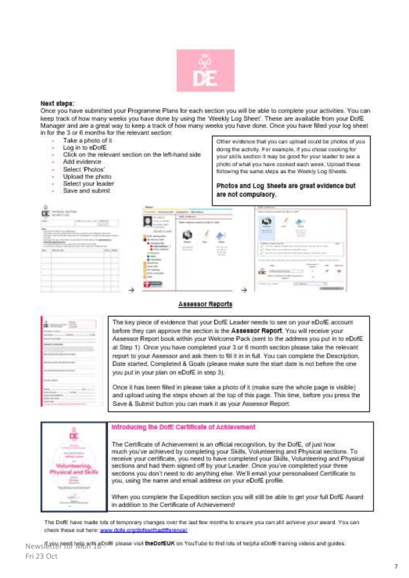

#### Next steps:

Once you have submitted your Programme Plans for each section you will be able to complete your activities. You can keep track of how many weeks you have done by using the 'Weekly Log Sheet'. These are available from your DofE Manager and are a great way to keep a track of how many weeks you have done. Once you have filled your log sheet in for the 3 or 6 months for the relevant section:

- Take a photo of it
- Log in to eDofF
- Click on the relevant section on the left-hand side
- Add evidence
- Select 'Photos'
- Upload the photo
- Select your leader
- Save and submit

Other evidence that you can upload could be photos of you doing the activity. For example, if you chose cooking for your skills section it may be good for your leader to see a photo of what you have cooked each week. Upload these following the same steps as the Weekly Log Sheets.

Photos and Log Sheets are great evidence but are not compulsory.

|                                                                           |                                             | -<br><b>DIE CORNER</b> | presented and provided to the control of                                       |
|---------------------------------------------------------------------------|---------------------------------------------|------------------------|--------------------------------------------------------------------------------|
| $\mathcal{N}$ and<br>and the company of the company of the company of the | distant<br><b>MATER CAR</b><br>$\mathbf{u}$ | ē<br><b>Texas</b>      | 暛<br><b>STATISTICS</b><br>-----<br>m<br>s<br><b>TH</b><br>181<br>List interest |

#### Assessor Reports

|   | τ |
|---|---|
|   |   |
|   |   |
| x |   |
|   |   |
|   |   |

The key piece of evidence that your DofE Leader needs to see on your eDofE account before they can approve the section is the Assessor Report. You will receive your Assessor Report book within your Welcome Pack (sent to the address you put in to eDofE at Step 1). Once you have completed your 3 or 6 month section please take the relevant report to your Assessor and ask them to fill it in in full. You can complete the Description, Date started, Completed & Goals (please make sure the start date is not before the one you put in your plan on eDofE in step 3).

Once it has been filled in please take a photo of it (make sure the whole page is visible) and upload using the steps shown at the top of this page. This time, before you press the Save & Submit button you can mark it as your Assessor Report.

| œ | Introducing the Doff: Certificate of Achievement                                                                                                                                                                                                                                                                                                                                                                                                                                                                               |
|---|--------------------------------------------------------------------------------------------------------------------------------------------------------------------------------------------------------------------------------------------------------------------------------------------------------------------------------------------------------------------------------------------------------------------------------------------------------------------------------------------------------------------------------|
|   | The Certificate of Achievement is an official recognition, by the DofE, of just how<br>much you've achieved by completing your Skills, Volunteering and Physical sections. To<br>receive your certificate, you need to have completed your Skills, Volunteering and Physical<br>sections and had them signed off by your Leader. Once you've completed your three<br>sections you don't need to do anything else. We'll email your personalised Certificate to<br>you, using the name and email address on your eDofE profile. |
|   | When you complete the Expedition section you will still be able to get your full DofE Award<br>in addition to the Certificate of Achievement!                                                                                                                                                                                                                                                                                                                                                                                  |

The Doff: have made lots of temporary changes over the last few months to ensure you can still achieve your award. You can check these out here: www.dote.org/dofewithadifference/

Newsletter for Monita eDofE please visit the DofEUK on YouTube to find lots of helpful eDofE training videos and guides. Fri 23 Oct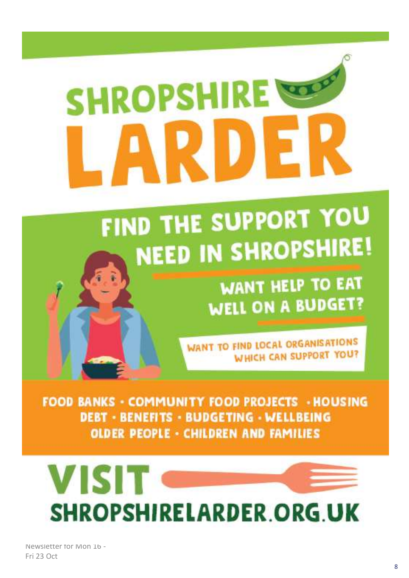# teac **SHROPSHIRE**

# FIND THE SUPPORT YOU **NEED IN SHROPSHIRE!**

**WANT HELP TO EAT WELL ON A BUDGET?** 

**WANT TO FIND LOCAL ORGANISATIONS WHICH CAN SUPPORT YOU?** 

**FOOD BANKS - COMMUNITY FOOD PROJECTS - HOUSING DEBT - BENEFITS - BUDGETING - WELLBEING OLDER PEOPLE - CHILDREN AND FAMILIES** 



Newsletter for Mon 16 -Fri 23 Oct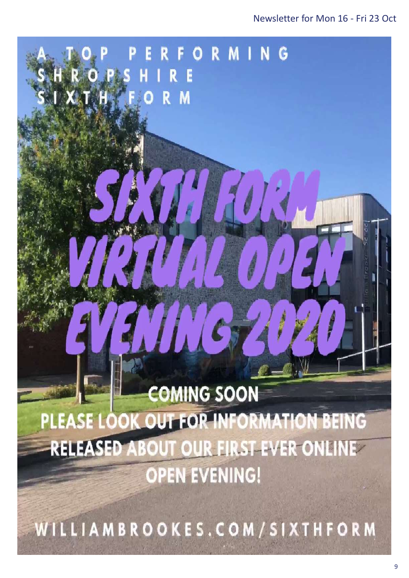# 70 **COMING SOON** PLEASE LOOK OUT FOR INFORMATION BEING **RELEASED ABOUT OUR FIRST EVER ONLINE OPEN EVENING!**

RIGPS HIRE

ORMING

 $\alpha$  and  $\alpha$  in for the newsletters sent in for the newsletters sent in for the newsletters sent in for the newsletters in  $\alpha$ 

WILLIAMBROOKES.COM/SIXTHFORM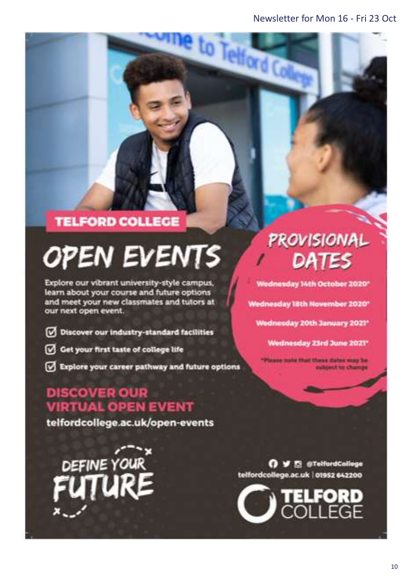to Telford C

# **TELFORD COLLEGE**

# **OPEN EVENTS**

Explore our vibrant university-style campus, learn about your course and future options and meet your new classmates and tutors at our next open event.

- Discover our industry-standard facilities
- Get your first taste of college life
- Explore your career pathway and future options

## **DISCOVER OUR VIRTUAL OPEN EVENT**

telfordcollege.ac.uk/open-events

DEFINE YOUR

# PROVISIONAL DATES

Wednesday 14th October 2020\*

Wednesday 18th November 2020\*

Wednesday 20th January 2021\*

Wednesday 23rd June 2021\*

aug nate that these dates may be ubject to change

O V El @TelfordCollege telfordcollege.ac.uk | 01952 642200

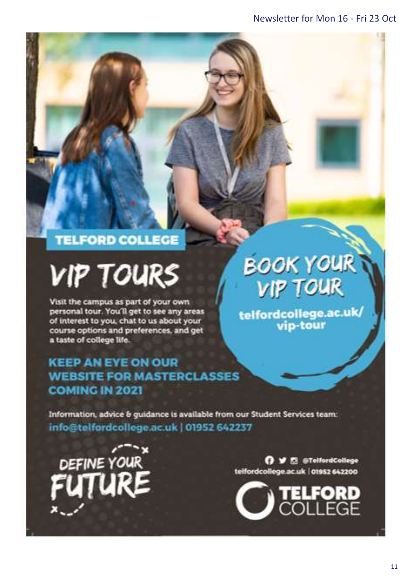# **TELFORD COLLEGE**

# **VIP TOURS**

Visit the campus as part of your own personal tour. You'll get to see any areas of interest to you, chat to us about your course options and preferences, and get a taste of college life.

## **KEEP AN EYE ON OUR WEBSITE FOR MASTERCLASSES COMING IN 2021**

# **BOOK YOUR VIP TOUR**

telfordcollege.ac.uk/<br>vip-tour

Information, advice & guidance is available from our Student Services team: info@telfordcollege.ac.uk | 01952 642237



O V E @TelfordCollege telfordcollege.ac.uk | 01952 642200